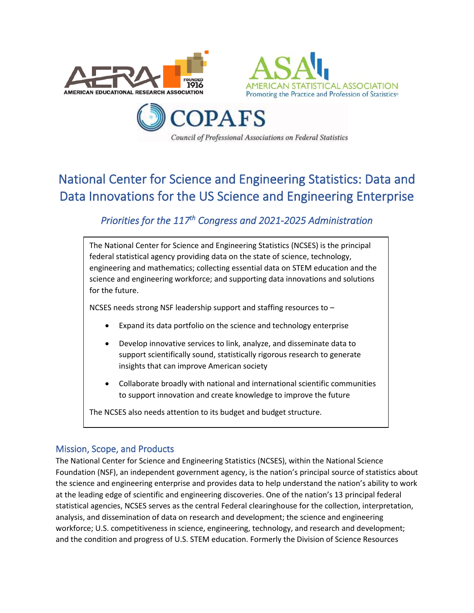





# National Center for Science and Engineering Statistics: Data and Data Innovations for the US Science and Engineering Enterprise

# *Priorities for the 117th Congress and 2021-2025 Administration*

The National Center for Science and Engineering Statistics (NCSES) is the principal federal statistical agency providing data on the state of science, technology, engineering and mathematics; collecting essential data on STEM education and the science and engineering workforce; and supporting data innovations and solutions for the future.

NCSES needs strong NSF leadership support and staffing resources to –

- Expand its data portfolio on the science and technology enterprise
- Develop innovative services to link, analyze, and disseminate data to support scientifically sound, statistically rigorous research to generate insights that can improve American society
- Collaborate broadly with national and international scientific communities to support innovation and create knowledge to improve the future

The NCSES also needs attention to its budget and budget structure.

# Mission, Scope, and Products

The National Center for Science and Engineering Statistics (NCSES), within the National Science Foundation (NSF), an independent government agency, is the nation's principal source of statistics about the science and engineering enterprise and provides data to help understand the nation's ability to work at the leading edge of scientific and engineering discoveries. One of the nation's 13 principal federal statistical agencies, NCSES serves as the central Federal clearinghouse for the collection, interpretation, analysis, and dissemination of data on research and development; the science and engineering workforce; U.S. competitiveness in science, engineering, technology, and research and development; and the condition and progress of U.S. STEM education. Formerly the Division of Science Resources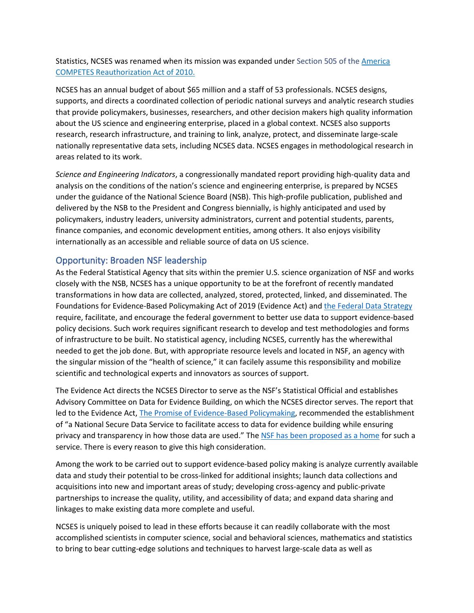Statistics, NCSES was renamed when its mission was expanded under Section 505 of the [America](https://www.nsf.gov/statistics/about/BILLS-111hr5116enr.pdf#page=26)  [COMPETES Reauthorization Act of 2010.](https://www.nsf.gov/statistics/about/BILLS-111hr5116enr.pdf#page=26)

NCSES has an annual budget of about \$65 million and a staff of 53 professionals. NCSES designs, supports, and directs a coordinated collection of periodic national surveys and analytic research studies that provide policymakers, businesses, researchers, and other decision makers high quality information about the US science and engineering enterprise, placed in a global context. NCSES also supports research, research infrastructure, and training to link, analyze, protect, and disseminate large-scale nationally representative data sets, including NCSES data. NCSES engages in methodological research in areas related to its work.

*Science and Engineering Indicators*, a congressionally mandated report providing high-quality data and analysis on the conditions of the nation's science and engineering enterprise, is prepared by NCSES under the guidance of the National Science Board (NSB). This high-profile publication, published and delivered by the NSB to the President and Congress biennially, is highly anticipated and used by policymakers, industry leaders, university administrators, current and potential students, parents, finance companies, and economic development entities, among others. It also enjoys visibility internationally as an accessible and reliable source of data on US science.

#### Opportunity: Broaden NSF leadership

As the Federal Statistical Agency that sits within the premier U.S. science organization of NSF and works closely with the NSB, NCSES has a unique opportunity to be at the forefront of recently mandated transformations in how data are collected, analyzed, stored, protected, linked, and disseminated. The Foundations for Evidence-Based Policymaking Act of 2019 (Evidence Act) and the Federal Data Strategy require, facilitate, and encourage the federal government to better use data to support evidence-based policy decisions. Such work requires significant research to develop and test methodologies and forms of infrastructure to be built. No statistical agency, including NCSES, currently has the wherewithal needed to get the job done. But, with appropriate resource levels and located in NSF, an agency with the singular mission of the "health of science," it can facilely assume this responsibility and mobilize scientific and technological experts and innovators as sources of support.

The Evidence Act directs the NCSES Director to serve as the NSF's Statistical Official and establishes Advisory Committee on Data for Evidence Building, on which the NCSES director serves. The report that led to the Evidence Act, [The Promise of Evidence-Based Policymaking,](https://www.cep.gov/cep-final-report.html) recommended the establishment of "a National Secure Data Service to facilitate access to data for evidence building while ensuring privacy and transparency in how those data are used." The [NSF has been proposed as a home](https://www.datafoundation.org/modernizing-us-data-infrastructure-2020) for such a service. There is every reason to give this high consideration.

Among the work to be carried out to support evidence-based policy making is analyze currently available data and study their potential to be cross-linked for additional insights; launch data collections and acquisitions into new and important areas of study; developing cross-agency and public-private partnerships to increase the quality, utility, and accessibility of data; and expand data sharing and linkages to make existing data more complete and useful.

NCSES is uniquely poised to lead in these efforts because it can readily collaborate with the most accomplished scientists in computer science, social and behavioral sciences, mathematics and statistics to bring to bear cutting-edge solutions and techniques to harvest large-scale data as well as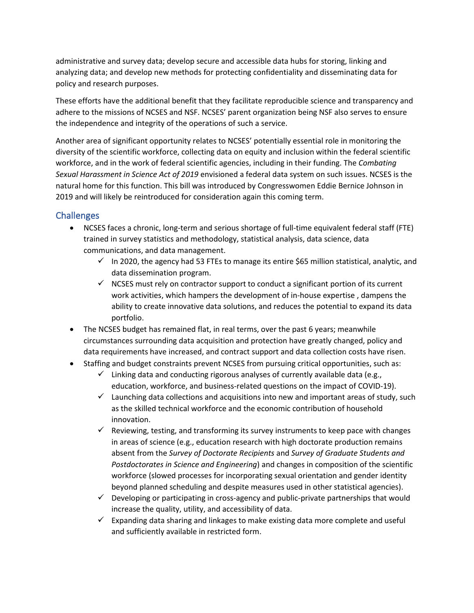administrative and survey data; develop secure and accessible data hubs for storing, linking and analyzing data; and develop new methods for protecting confidentiality and disseminating data for policy and research purposes.

These efforts have the additional benefit that they facilitate reproducible science and transparency and adhere to the missions of NCSES and NSF. NCSES' parent organization being NSF also serves to ensure the independence and integrity of the operations of such a service.

Another area of significant opportunity relates to NCSES' potentially essential role in monitoring the diversity of the scientific workforce, collecting data on equity and inclusion within the federal scientific workforce, and in the work of federal scientific agencies, including in their funding. The *Combating Sexual Harassment in Science Act of 2019* envisioned a federal data system on such issues. NCSES is the natural home for this function. This bill was introduced by Congresswomen Eddie Bernice Johnson in 2019 and will likely be reintroduced for consideration again this coming term.

#### Challenges

- NCSES faces a chronic, long-term and serious shortage of full-time equivalent federal staff (FTE) trained in survey statistics and methodology, statistical analysis, data science, data communications, and data management.
	- $\checkmark$  In 2020, the agency had 53 FTEs to manage its entire \$65 million statistical, analytic, and data dissemination program.
	- $\checkmark$  NCSES must rely on contractor support to conduct a significant portion of its current work activities, which hampers the development of in-house expertise , dampens the ability to create innovative data solutions, and reduces the potential to expand its data portfolio.
- The NCSES budget has remained flat, in real terms, over the past 6 years; meanwhile circumstances surrounding data acquisition and protection have greatly changed, policy and data requirements have increased, and contract support and data collection costs have risen.
- Staffing and budget constraints prevent NCSES from pursuing critical opportunities, such as:
	- $\checkmark$  Linking data and conducting rigorous analyses of currently available data (e.g., education, workforce, and business-related questions on the impact of COVID-19).
	- $\checkmark$  Launching data collections and acquisitions into new and important areas of study, such as the skilled technical workforce and the economic contribution of household innovation.
	- $\checkmark$  Reviewing, testing, and transforming its survey instruments to keep pace with changes in areas of science (e.g., education research with high doctorate production remains absent from the *Survey of Doctorate Recipients* and *Survey of Graduate Students and Postdoctorates in Science and Engineering*) and changes in composition of the scientific workforce (slowed processes for incorporating sexual orientation and gender identity beyond planned scheduling and despite measures used in other statistical agencies).
	- $\checkmark$  Developing or participating in cross-agency and public-private partnerships that would increase the quality, utility, and accessibility of data.
	- $\checkmark$  Expanding data sharing and linkages to make existing data more complete and useful and sufficiently available in restricted form.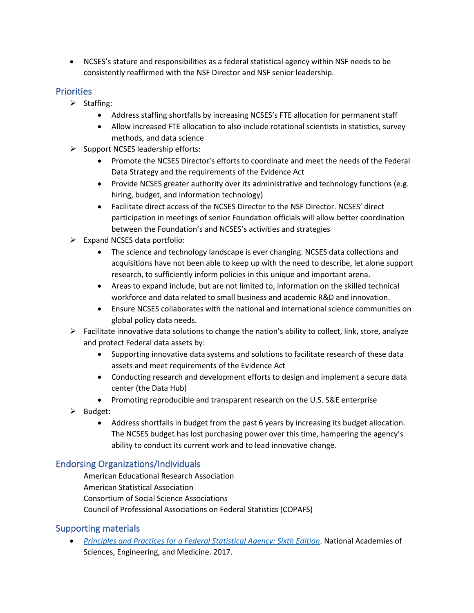• NCSES's stature and responsibilities as a federal statistical agency within NSF needs to be consistently reaffirmed with the NSF Director and NSF senior leadership.

### **Priorities**

- ➢ Staffing:
	- Address staffing shortfalls by increasing NCSES's FTE allocation for permanent staff
	- Allow increased FTE allocation to also include rotational scientists in statistics, survey methods, and data science
- $\triangleright$  Support NCSES leadership efforts:
	- Promote the NCSES Director's efforts to coordinate and meet the needs of the Federal Data Strategy and the requirements of the Evidence Act
	- Provide NCSES greater authority over its administrative and technology functions (e.g. hiring, budget, and information technology)
	- Facilitate direct access of the NCSES Director to the NSF Director. NCSES' direct participation in meetings of senior Foundation officials will allow better coordination between the Foundation's and NCSES's activities and strategies
- $\triangleright$  Expand NCSES data portfolio:
	- The science and technology landscape is ever changing. NCSES data collections and acquisitions have not been able to keep up with the need to describe, let alone support research, to sufficiently inform policies in this unique and important arena.
	- Areas to expand include, but are not limited to, information on the skilled technical workforce and data related to small business and academic R&D and innovation.
	- Ensure NCSES collaborates with the national and international science communities on global policy data needs.
- $\triangleright$  Facilitate innovative data solutions to change the nation's ability to collect, link, store, analyze and protect Federal data assets by:
	- Supporting innovative data systems and solutions to facilitate research of these data assets and meet requirements of the Evidence Act
	- Conducting research and development efforts to design and implement a secure data center (the Data Hub)
	- Promoting reproducible and transparent research on the U.S. S&E enterprise
- ➢ Budget:
	- Address shortfalls in budget from the past 6 years by increasing its budget allocation. The NCSES budget has lost purchasing power over this time, hampering the agency's ability to conduct its current work and to lead innovative change.

# Endorsing Organizations/Individuals

American Educational Research Association American Statistical Association Consortium of Social Science Associations Council of Professional Associations on Federal Statistics (COPAFS)

# Supporting materials

• *[Principles and Practices for a Federal Statistical Agency: Sixth Edition](file:///C:/Users/spierson/AppData/Local/Microsoft/Windows/INetCache/Content.Outlook/R6D9INDR/Principles%20and%20Practices%20for%20a%20Federal%20Statistical%20Agency:%20Sixth%20Edition)*. National Academies of Sciences, Engineering, and Medicine. 2017.